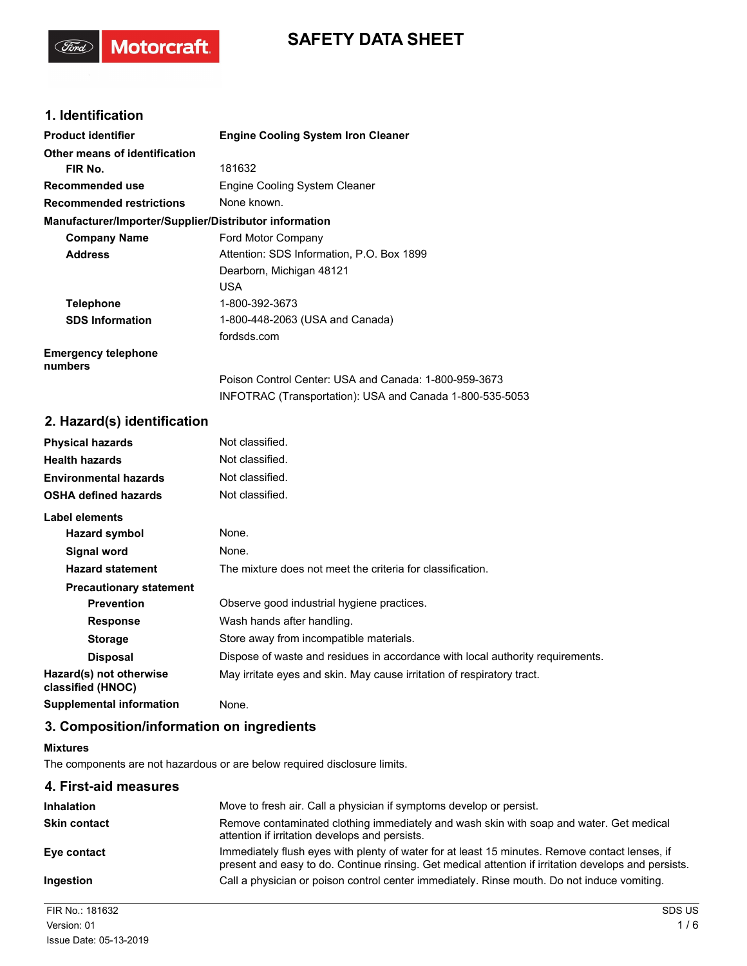# **SAFETY DATA SHEET**

# **1. Identification**

(Ford)

Motorcraft.

| <b>Product identifier</b>                              | <b>Engine Cooling System Iron Cleaner</b>                |
|--------------------------------------------------------|----------------------------------------------------------|
| Other means of identification                          |                                                          |
| FIR No.                                                | 181632                                                   |
| Recommended use                                        | Engine Cooling System Cleaner                            |
| <b>Recommended restrictions</b>                        | None known.                                              |
| Manufacturer/Importer/Supplier/Distributor information |                                                          |
| <b>Company Name</b>                                    | Ford Motor Company                                       |
| <b>Address</b>                                         | Attention: SDS Information, P.O. Box 1899                |
|                                                        | Dearborn, Michigan 48121                                 |
|                                                        | USA                                                      |
| <b>Telephone</b>                                       | 1-800-392-3673                                           |
| <b>SDS Information</b>                                 | 1-800-448-2063 (USA and Canada)                          |
|                                                        | fordsds.com                                              |
| <b>Emergency telephone</b><br>numbers                  |                                                          |
|                                                        | Poison Control Center: USA and Canada: 1-800-959-3673    |
|                                                        | INFOTRAC (Transportation): USA and Canada 1-800-535-5053 |

## **2. Hazard(s) identification**

| <b>Physical hazards</b>                      | Not classified.                                                                |
|----------------------------------------------|--------------------------------------------------------------------------------|
| <b>Health hazards</b>                        | Not classified.                                                                |
| <b>Environmental hazards</b>                 | Not classified.                                                                |
| <b>OSHA defined hazards</b>                  | Not classified.                                                                |
| Label elements                               |                                                                                |
| Hazard symbol                                | None.                                                                          |
| Signal word                                  | None.                                                                          |
| <b>Hazard statement</b>                      | The mixture does not meet the criteria for classification.                     |
| <b>Precautionary statement</b>               |                                                                                |
| <b>Prevention</b>                            | Observe good industrial hygiene practices.                                     |
| <b>Response</b>                              | Wash hands after handling.                                                     |
| <b>Storage</b>                               | Store away from incompatible materials.                                        |
| <b>Disposal</b>                              | Dispose of waste and residues in accordance with local authority requirements. |
| Hazard(s) not otherwise<br>classified (HNOC) | May irritate eyes and skin. May cause irritation of respiratory tract.         |
| <b>Supplemental information</b>              | None.                                                                          |

# **3. Composition/information on ingredients**

#### **Mixtures**

The components are not hazardous or are below required disclosure limits.

| 4. First-aid measures |                                                                                                                                                                                                        |
|-----------------------|--------------------------------------------------------------------------------------------------------------------------------------------------------------------------------------------------------|
| <b>Inhalation</b>     | Move to fresh air. Call a physician if symptoms develop or persist.                                                                                                                                    |
| <b>Skin contact</b>   | Remove contaminated clothing immediately and wash skin with soap and water. Get medical<br>attention if irritation develops and persists.                                                              |
| Eye contact           | Immediately flush eyes with plenty of water for at least 15 minutes. Remove contact lenses, if<br>present and easy to do. Continue rinsing. Get medical attention if irritation develops and persists. |
| Ingestion             | Call a physician or poison control center immediately. Rinse mouth. Do not induce vomiting.                                                                                                            |

FIR No.: 181632 SDS US Issue Date: 05-13-2019  $V$ ersion: 01  $1/6$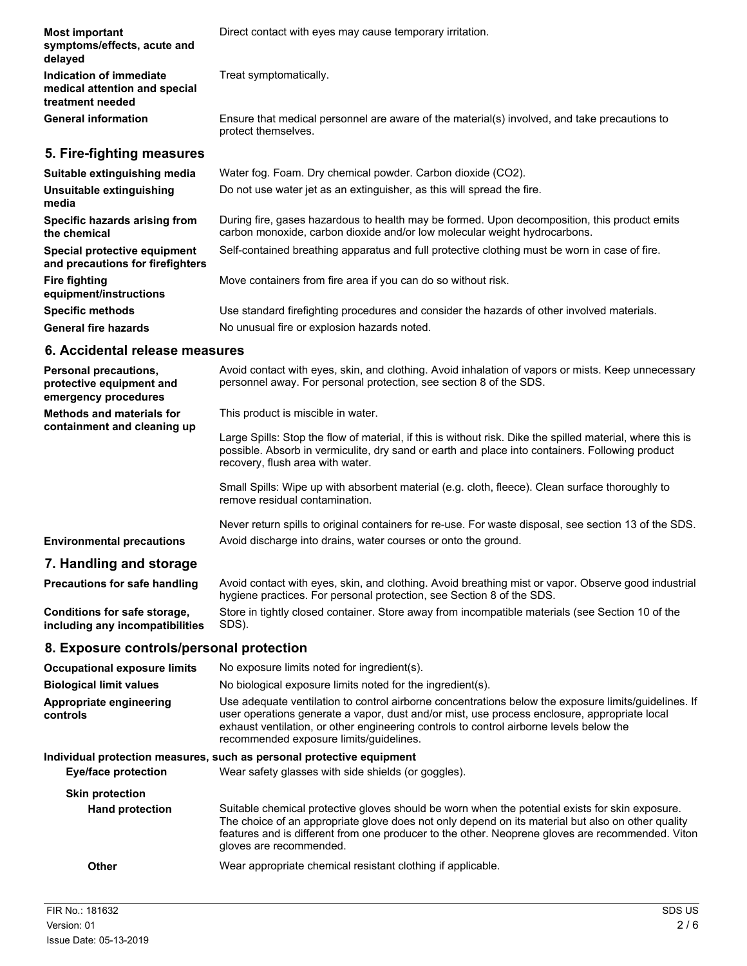| <b>Most important</b><br>symptoms/effects, acute and<br>delayed                  | Direct contact with eyes may cause temporary irritation.                                                                                                                                                                                                                                                                                   |
|----------------------------------------------------------------------------------|--------------------------------------------------------------------------------------------------------------------------------------------------------------------------------------------------------------------------------------------------------------------------------------------------------------------------------------------|
| Indication of immediate<br>medical attention and special<br>treatment needed     | Treat symptomatically.                                                                                                                                                                                                                                                                                                                     |
| <b>General information</b>                                                       | Ensure that medical personnel are aware of the material(s) involved, and take precautions to<br>protect themselves.                                                                                                                                                                                                                        |
| 5. Fire-fighting measures                                                        |                                                                                                                                                                                                                                                                                                                                            |
| Suitable extinguishing media                                                     | Water fog. Foam. Dry chemical powder. Carbon dioxide (CO2).                                                                                                                                                                                                                                                                                |
| Unsuitable extinguishing<br>media                                                | Do not use water jet as an extinguisher, as this will spread the fire.                                                                                                                                                                                                                                                                     |
| Specific hazards arising from<br>the chemical                                    | During fire, gases hazardous to health may be formed. Upon decomposition, this product emits<br>carbon monoxide, carbon dioxide and/or low molecular weight hydrocarbons.                                                                                                                                                                  |
| Special protective equipment<br>and precautions for firefighters                 | Self-contained breathing apparatus and full protective clothing must be worn in case of fire.                                                                                                                                                                                                                                              |
| <b>Fire fighting</b><br>equipment/instructions                                   | Move containers from fire area if you can do so without risk.                                                                                                                                                                                                                                                                              |
| <b>Specific methods</b>                                                          | Use standard firefighting procedures and consider the hazards of other involved materials.                                                                                                                                                                                                                                                 |
| <b>General fire hazards</b>                                                      | No unusual fire or explosion hazards noted.                                                                                                                                                                                                                                                                                                |
| 6. Accidental release measures                                                   |                                                                                                                                                                                                                                                                                                                                            |
| <b>Personal precautions,</b><br>protective equipment and<br>emergency procedures | Avoid contact with eyes, skin, and clothing. Avoid inhalation of vapors or mists. Keep unnecessary<br>personnel away. For personal protection, see section 8 of the SDS.                                                                                                                                                                   |
| <b>Methods and materials for</b><br>containment and cleaning up                  | This product is miscible in water.                                                                                                                                                                                                                                                                                                         |
|                                                                                  | Large Spills: Stop the flow of material, if this is without risk. Dike the spilled material, where this is<br>possible. Absorb in vermiculite, dry sand or earth and place into containers. Following product<br>recovery, flush area with water.                                                                                          |
|                                                                                  | Small Spills: Wipe up with absorbent material (e.g. cloth, fleece). Clean surface thoroughly to<br>remove residual contamination.                                                                                                                                                                                                          |
|                                                                                  | Never return spills to original containers for re-use. For waste disposal, see section 13 of the SDS.                                                                                                                                                                                                                                      |
| <b>Environmental precautions</b>                                                 | Avoid discharge into drains, water courses or onto the ground.                                                                                                                                                                                                                                                                             |
| 7. Handling and storage                                                          |                                                                                                                                                                                                                                                                                                                                            |
| <b>Precautions for safe handling</b>                                             | Avoid contact with eyes, skin, and clothing. Avoid breathing mist or vapor. Observe good industrial<br>hygiene practices. For personal protection, see Section 8 of the SDS.                                                                                                                                                               |
| Conditions for safe storage,<br>including any incompatibilities                  | Store in tightly closed container. Store away from incompatible materials (see Section 10 of the<br>SDS).                                                                                                                                                                                                                                  |
| 8. Exposure controls/personal protection                                         |                                                                                                                                                                                                                                                                                                                                            |
| <b>Occupational exposure limits</b>                                              | No exposure limits noted for ingredient(s).                                                                                                                                                                                                                                                                                                |
| <b>Biological limit values</b>                                                   | No biological exposure limits noted for the ingredient(s).                                                                                                                                                                                                                                                                                 |
| Appropriate engineering<br>controls                                              | Use adequate ventilation to control airborne concentrations below the exposure limits/guidelines. If<br>user operations generate a vapor, dust and/or mist, use process enclosure, appropriate local<br>exhaust ventilation, or other engineering controls to control airborne levels below the<br>recommended exposure limits/guidelines. |
| <b>Eye/face protection</b>                                                       | Individual protection measures, such as personal protective equipment<br>Wear safety glasses with side shields (or goggles).                                                                                                                                                                                                               |
| <b>Skin protection</b>                                                           |                                                                                                                                                                                                                                                                                                                                            |

Suitable chemical protective gloves should be worn when the potential exists for skin exposure. The choice of an appropriate glove does not only depend on its material but also on other quality features and is different from one producer to the other. Neoprene gloves are recommended. Viton gloves are recommended. **Hand protection**

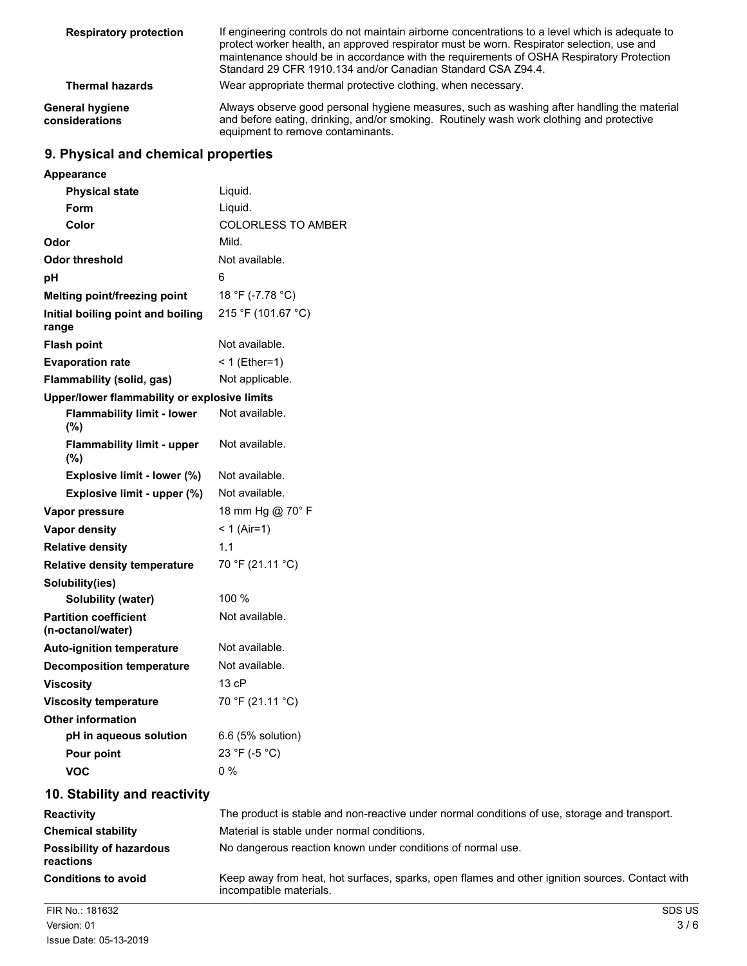| <b>Respiratory protection</b>            | If engineering controls do not maintain airborne concentrations to a level which is adequate to<br>protect worker health, an approved respirator must be worn. Respirator selection, use and<br>maintenance should be in accordance with the requirements of OSHA Respiratory Protection<br>Standard 29 CFR 1910.134 and/or Canadian Standard CSA Z94.4. |
|------------------------------------------|----------------------------------------------------------------------------------------------------------------------------------------------------------------------------------------------------------------------------------------------------------------------------------------------------------------------------------------------------------|
| <b>Thermal hazards</b>                   | Wear appropriate thermal protective clothing, when necessary.                                                                                                                                                                                                                                                                                            |
| <b>General hygiene</b><br>considerations | Always observe good personal hygiene measures, such as washing after handling the material<br>and before eating, drinking, and/or smoking. Routinely wash work clothing and protective<br>equipment to remove contaminants.                                                                                                                              |

#### **9. Physical and chemical properties**

| Appearance                                        |                                                                                               |
|---------------------------------------------------|-----------------------------------------------------------------------------------------------|
| <b>Physical state</b>                             | Liquid.                                                                                       |
| Form                                              | Liquid.                                                                                       |
| Color                                             | <b>COLORLESS TO AMBER</b>                                                                     |
| Odor                                              | Mild.                                                                                         |
| <b>Odor threshold</b>                             | Not available.                                                                                |
| pH                                                | 6                                                                                             |
| Melting point/freezing point                      | 18 °F (-7.78 °C)                                                                              |
| Initial boiling point and boiling<br>range        | 215 °F (101.67 °C)                                                                            |
| <b>Flash point</b>                                | Not available.                                                                                |
| <b>Evaporation rate</b>                           | $< 1$ (Ether=1)                                                                               |
| Flammability (solid, gas)                         | Not applicable.                                                                               |
| Upper/lower flammability or explosive limits      |                                                                                               |
| <b>Flammability limit - lower</b><br>(%)          | Not available.                                                                                |
| <b>Flammability limit - upper</b><br>(%)          | Not available.                                                                                |
| Explosive limit - lower (%)                       | Not available.                                                                                |
| Explosive limit - upper (%)                       | Not available.                                                                                |
| Vapor pressure                                    | 18 mm Hg @ 70° F                                                                              |
| Vapor density                                     | $< 1$ (Air=1)                                                                                 |
| <b>Relative density</b>                           | 1.1                                                                                           |
| <b>Relative density temperature</b>               | 70 °F (21.11 °C)                                                                              |
| Solubility(ies)                                   |                                                                                               |
| Solubility (water)                                | 100 %                                                                                         |
| <b>Partition coefficient</b><br>(n-octanol/water) | Not available.                                                                                |
| <b>Auto-ignition temperature</b>                  | Not available.                                                                                |
| <b>Decomposition temperature</b>                  | Not available.                                                                                |
| <b>Viscosity</b>                                  | 13 cP                                                                                         |
| <b>Viscosity temperature</b>                      | 70 °F (21.11 °C)                                                                              |
| <b>Other information</b>                          |                                                                                               |
| pH in aqueous solution                            | 6.6 (5% solution)                                                                             |
| Pour point                                        | 23 °F (-5 °C)                                                                                 |
| <b>VOC</b>                                        | $0\%$                                                                                         |
| 10. Stability and reactivity                      |                                                                                               |
| <b>Reactivity</b>                                 | The product is stable and non-reactive under normal conditions of use, storage and transport. |
| <b>Chemical stability</b>                         | Material is stable under normal conditions.                                                   |
| <b>Possibility of hazardous</b>                   | No dangerous reaction known under conditions of normal use.                                   |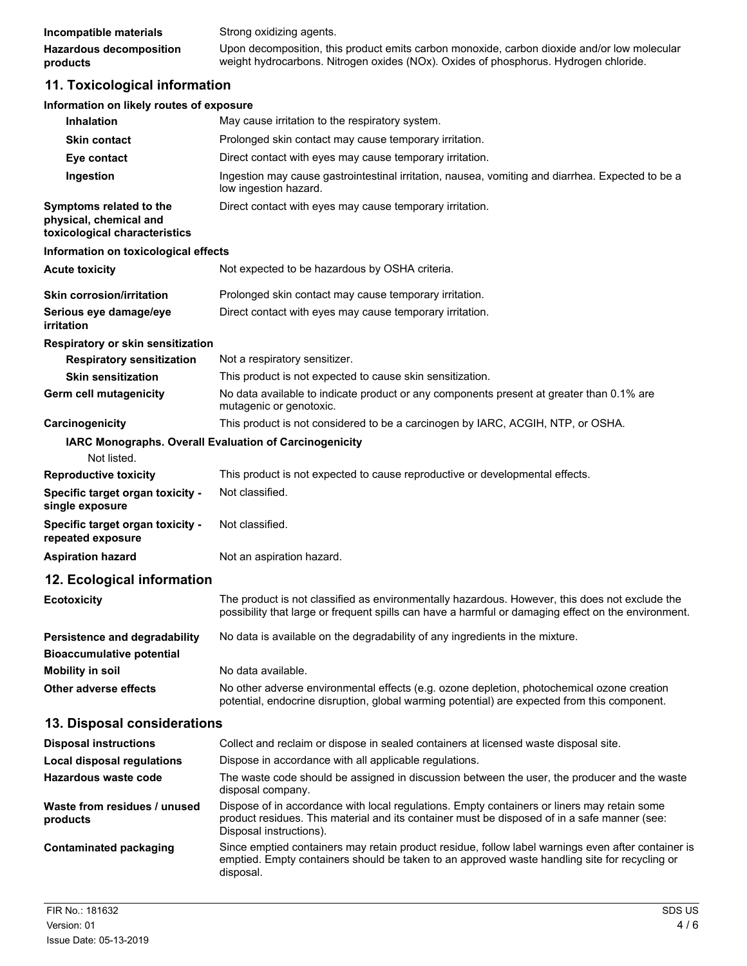| Incompatible materials         | Strong oxidizing agents.                                                                    |
|--------------------------------|---------------------------------------------------------------------------------------------|
| <b>Hazardous decomposition</b> | Upon decomposition, this product emits carbon monoxide, carbon dioxide and/or low molecular |
| products                       | weight hydrocarbons. Nitrogen oxides (NOx). Oxides of phosphorus. Hydrogen chloride.        |

# **11. Toxicological information**

| Information on likely routes of exposure                                           |                                                                                                                                                                                                                        |
|------------------------------------------------------------------------------------|------------------------------------------------------------------------------------------------------------------------------------------------------------------------------------------------------------------------|
| <b>Inhalation</b>                                                                  | May cause irritation to the respiratory system.                                                                                                                                                                        |
| <b>Skin contact</b>                                                                | Prolonged skin contact may cause temporary irritation.                                                                                                                                                                 |
| Eye contact                                                                        | Direct contact with eyes may cause temporary irritation.                                                                                                                                                               |
| Ingestion                                                                          | Ingestion may cause gastrointestinal irritation, nausea, vomiting and diarrhea. Expected to be a<br>low ingestion hazard.                                                                                              |
| Symptoms related to the<br>physical, chemical and<br>toxicological characteristics | Direct contact with eyes may cause temporary irritation.                                                                                                                                                               |
| Information on toxicological effects                                               |                                                                                                                                                                                                                        |
| <b>Acute toxicity</b>                                                              | Not expected to be hazardous by OSHA criteria.                                                                                                                                                                         |
| <b>Skin corrosion/irritation</b>                                                   | Prolonged skin contact may cause temporary irritation.                                                                                                                                                                 |
| Serious eye damage/eye<br>irritation                                               | Direct contact with eyes may cause temporary irritation.                                                                                                                                                               |
| Respiratory or skin sensitization                                                  |                                                                                                                                                                                                                        |
| <b>Respiratory sensitization</b>                                                   | Not a respiratory sensitizer.                                                                                                                                                                                          |
| <b>Skin sensitization</b>                                                          | This product is not expected to cause skin sensitization.                                                                                                                                                              |
| Germ cell mutagenicity                                                             | No data available to indicate product or any components present at greater than 0.1% are<br>mutagenic or genotoxic.                                                                                                    |
| Carcinogenicity                                                                    | This product is not considered to be a carcinogen by IARC, ACGIH, NTP, or OSHA.                                                                                                                                        |
| IARC Monographs. Overall Evaluation of Carcinogenicity<br>Not listed.              |                                                                                                                                                                                                                        |
| <b>Reproductive toxicity</b>                                                       | This product is not expected to cause reproductive or developmental effects.                                                                                                                                           |
| Specific target organ toxicity -<br>single exposure                                | Not classified.                                                                                                                                                                                                        |
| Specific target organ toxicity -<br>repeated exposure                              | Not classified.                                                                                                                                                                                                        |
| <b>Aspiration hazard</b>                                                           | Not an aspiration hazard.                                                                                                                                                                                              |
| 12. Ecological information                                                         |                                                                                                                                                                                                                        |
| <b>Ecotoxicity</b>                                                                 | The product is not classified as environmentally hazardous. However, this does not exclude the<br>possibility that large or frequent spills can have a harmful or damaging effect on the environment.                  |
| Persistence and degradability<br><b>Bioaccumulative potential</b>                  | No data is available on the degradability of any ingredients in the mixture.                                                                                                                                           |
| <b>Mobility in soil</b>                                                            | No data available.                                                                                                                                                                                                     |
| Other adverse effects                                                              | No other adverse environmental effects (e.g. ozone depletion, photochemical ozone creation<br>potential, endocrine disruption, global warming potential) are expected from this component.                             |
| 13. Disposal considerations                                                        |                                                                                                                                                                                                                        |
| <b>Disposal instructions</b>                                                       | Collect and reclaim or dispose in sealed containers at licensed waste disposal site.                                                                                                                                   |
| <b>Local disposal regulations</b>                                                  | Dispose in accordance with all applicable regulations.                                                                                                                                                                 |
| <b>Hazardous waste code</b>                                                        | The waste code should be assigned in discussion between the user, the producer and the waste<br>disposal company.                                                                                                      |
| Waste from residues / unused<br>products                                           | Dispose of in accordance with local regulations. Empty containers or liners may retain some<br>product residues. This material and its container must be disposed of in a safe manner (see:<br>Disposal instructions). |
| <b>Contaminated packaging</b>                                                      | Since emptied containers may retain product residue, follow label warnings even after container is<br>emptied. Empty containers should be taken to an approved waste handling site for recycling or<br>disposal.       |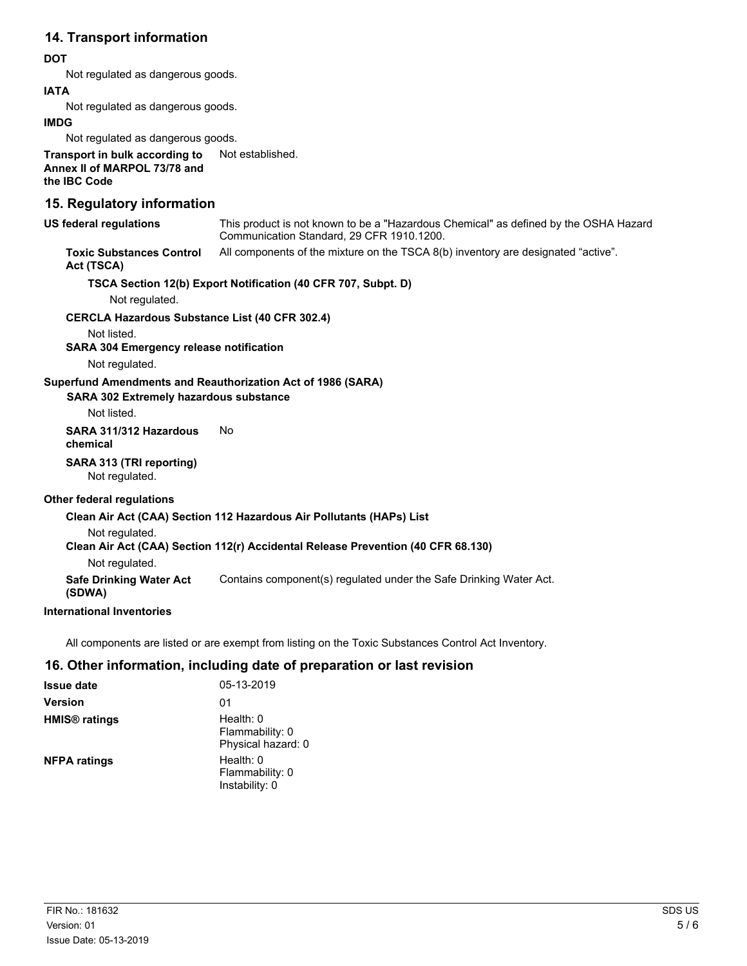#### **14. Transport information**

#### **DOT**

Not regulated as dangerous goods.

#### **IATA**

Not regulated as dangerous goods.

#### **IMDG**

Not regulated as dangerous goods.

**Transport in bulk according to** Not established. **Annex II of MARPOL 73/78 and the IBC Code**

#### **15. Regulatory information**

| US federal regulations                                      | This product is not known to be a "Hazardous Chemical" as defined by the OSHA Hazard<br>Communication Standard, 29 CFR 1910.1200. |
|-------------------------------------------------------------|-----------------------------------------------------------------------------------------------------------------------------------|
| <b>Toxic Substances Control</b><br>Act (TSCA)               | All components of the mixture on the TSCA 8(b) inventory are designated "active".                                                 |
|                                                             | TSCA Section 12(b) Export Notification (40 CFR 707, Subpt. D)                                                                     |
| Not regulated.                                              |                                                                                                                                   |
| <b>CERCLA Hazardous Substance List (40 CFR 302.4)</b>       |                                                                                                                                   |
| Not listed.                                                 |                                                                                                                                   |
| <b>SARA 304 Emergency release notification</b>              |                                                                                                                                   |
| Not regulated.                                              |                                                                                                                                   |
| Superfund Amendments and Reauthorization Act of 1986 (SARA) |                                                                                                                                   |
| SARA 302 Extremely hazardous substance                      |                                                                                                                                   |
| Not listed.                                                 |                                                                                                                                   |
|                                                             |                                                                                                                                   |
| SARA 311/312 Hazardous<br>chemical                          | No.                                                                                                                               |
| SARA 313 (TRI reporting)<br>Not regulated.                  |                                                                                                                                   |
| <b>Other federal regulations</b>                            |                                                                                                                                   |
|                                                             | Clean Air Act (CAA) Section 112 Hazardous Air Pollutants (HAPs) List                                                              |
| Not regulated.                                              |                                                                                                                                   |
|                                                             | Clean Air Act (CAA) Section 112(r) Accidental Release Prevention (40 CFR 68.130)                                                  |
| Not regulated.                                              |                                                                                                                                   |
| <b>Safe Drinking Water Act</b><br>(SDWA)                    | Contains component(s) regulated under the Safe Drinking Water Act.                                                                |
| <b>International Inventories</b>                            |                                                                                                                                   |
|                                                             |                                                                                                                                   |

All components are listed or are exempt from listing on the Toxic Substances Control Act Inventory.

#### **16. Other information, including date of preparation or last revision**

| <b>Issue date</b>               | 05-13-2019                                         |
|---------------------------------|----------------------------------------------------|
| <b>Version</b>                  | 01                                                 |
| <b>HMIS<sup>®</sup></b> ratings | Health: 0<br>Flammability: 0<br>Physical hazard: 0 |
| <b>NFPA ratings</b>             | Health: 0<br>Flammability: 0<br>Instability: 0     |